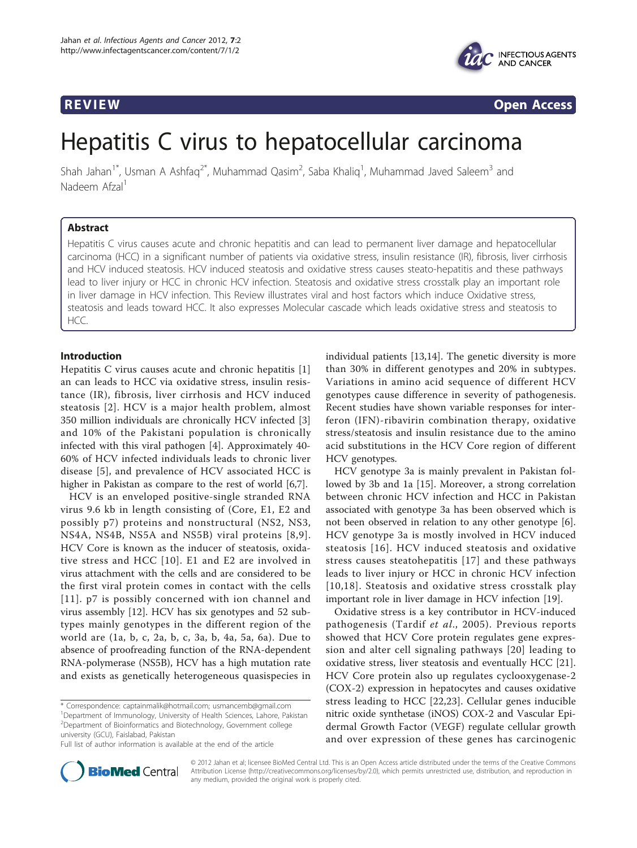

**REVIEW CONSTRUCTION CONSTRUCTION CONSTRUCTS** 

# Hepatitis C virus to hepatocellular carcinoma

Shah Jahan<sup>1\*</sup>, Usman A Ashfaq<sup>2\*</sup>, Muhammad Qasim<sup>2</sup>, Saba Khaliq<sup>1</sup>, Muhammad Javed Saleem<sup>3</sup> and Nadeem Afzal<sup>1</sup>

# Abstract

Hepatitis C virus causes acute and chronic hepatitis and can lead to permanent liver damage and hepatocellular carcinoma (HCC) in a significant number of patients via oxidative stress, insulin resistance (IR), fibrosis, liver cirrhosis and HCV induced steatosis. HCV induced steatosis and oxidative stress causes steato-hepatitis and these pathways lead to liver injury or HCC in chronic HCV infection. Steatosis and oxidative stress crosstalk play an important role in liver damage in HCV infection. This Review illustrates viral and host factors which induce Oxidative stress, steatosis and leads toward HCC. It also expresses Molecular cascade which leads oxidative stress and steatosis to HCC.

# Introduction

Hepatitis C virus causes acute and chronic hepatitis [\[1](#page-5-0)] an can leads to HCC via oxidative stress, insulin resistance (IR), fibrosis, liver cirrhosis and HCV induced steatosis [[2\]](#page-5-0). HCV is a major health problem, almost 350 million individuals are chronically HCV infected [\[3](#page-5-0)] and 10% of the Pakistani population is chronically infected with this viral pathogen [[4\]](#page-5-0). Approximately 40- 60% of HCV infected individuals leads to chronic liver disease [\[5\]](#page-5-0), and prevalence of HCV associated HCC is higher in Pakistan as compare to the rest of world [[6,7\]](#page-5-0).

HCV is an enveloped positive-single stranded RNA virus 9.6 kb in length consisting of (Core, E1, E2 and possibly p7) proteins and nonstructural (NS2, NS3, NS4A, NS4B, NS5A and NS5B) viral proteins [[8,9\]](#page-5-0). HCV Core is known as the inducer of steatosis, oxidative stress and HCC [[10\]](#page-5-0). E1 and E2 are involved in virus attachment with the cells and are considered to be the first viral protein comes in contact with the cells [[11\]](#page-5-0). p7 is possibly concerned with ion channel and virus assembly [\[12\]](#page-5-0). HCV has six genotypes and 52 subtypes mainly genotypes in the different region of the world are (1a, b, c, 2a, b, c, 3a, b, 4a, 5a, 6a). Due to absence of proofreading function of the RNA-dependent RNA-polymerase (NS5B), HCV has a high mutation rate and exists as genetically heterogeneous quasispecies in

\* Correspondence: [captainmalik@hotmail.com](mailto:captainmalik@hotmail.com); [usmancemb@gmail.com](mailto:usmancemb@gmail.com) <sup>1</sup>Department of Immunology, University of Health Sciences, Lahore, Pakistan <sup>2</sup>Department of Bioinformatics and Biotechnology, Government college university (GCU), Faislabad, Pakistan

individual patients [\[13,14\]](#page-5-0). The genetic diversity is more than 30% in different genotypes and 20% in subtypes. Variations in amino acid sequence of different HCV genotypes cause difference in severity of pathogenesis. Recent studies have shown variable responses for interferon (IFN)-ribavirin combination therapy, oxidative stress/steatosis and insulin resistance due to the amino acid substitutions in the HCV Core region of different HCV genotypes.

HCV genotype 3a is mainly prevalent in Pakistan followed by 3b and 1a [[15\]](#page-5-0). Moreover, a strong correlation between chronic HCV infection and HCC in Pakistan associated with genotype 3a has been observed which is not been observed in relation to any other genotype [\[6](#page-5-0)]. HCV genotype 3a is mostly involved in HCV induced steatosis [[16\]](#page-5-0). HCV induced steatosis and oxidative stress causes steatohepatitis [[17\]](#page-5-0) and these pathways leads to liver injury or HCC in chronic HCV infection [[10,18](#page-5-0)]. Steatosis and oxidative stress crosstalk play important role in liver damage in HCV infection [\[19](#page-5-0)].

Oxidative stress is a key contributor in HCV-induced pathogenesis (Tardif et al., 2005). Previous reports showed that HCV Core protein regulates gene expression and alter cell signaling pathways [[20\]](#page-5-0) leading to oxidative stress, liver steatosis and eventually HCC [\[21](#page-5-0)]. HCV Core protein also up regulates cyclooxygenase-2 (COX-2) expression in hepatocytes and causes oxidative stress leading to HCC [[22,23\]](#page-5-0). Cellular genes inducible nitric oxide synthetase (iNOS) COX-2 and Vascular Epidermal Growth Factor (VEGF) regulate cellular growth and over expression of these genes has carcinogenic



© 2012 Jahan et al; licensee BioMed Central Ltd. This is an Open Access article distributed under the terms of the Creative Commons Attribution License [\(http://creativecommons.org/licenses/by/2.0](http://creativecommons.org/licenses/by/2.0)), which permits unrestricted use, distribution, and reproduction in any medium, provided the original work is properly cited.

Full list of author information is available at the end of the article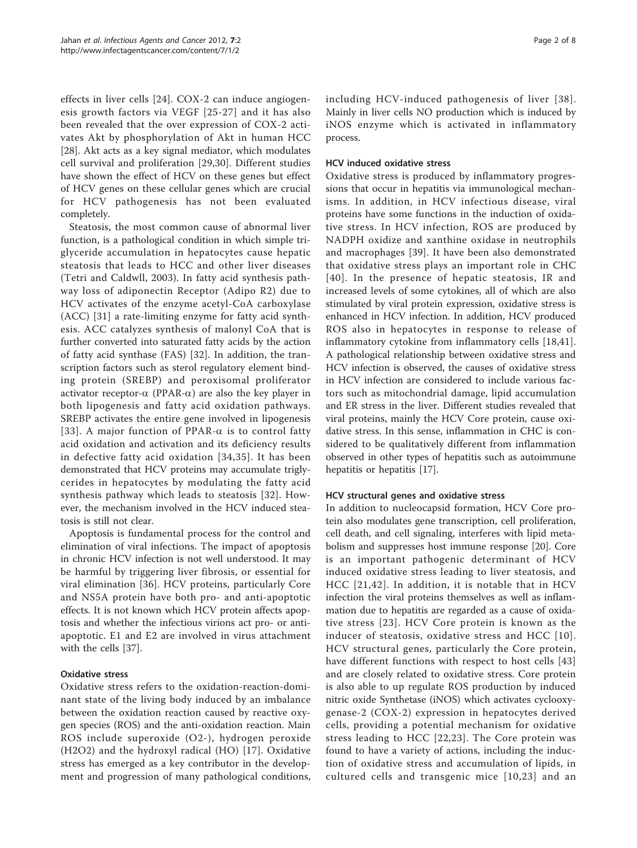effects in liver cells [[24](#page-5-0)]. COX-2 can induce angiogenesis growth factors via VEGF [[25](#page-5-0)-[27\]](#page-6-0) and it has also been revealed that the over expression of COX-2 activates Akt by phosphorylation of Akt in human HCC [[28\]](#page-6-0). Akt acts as a key signal mediator, which modulates cell survival and proliferation [[29,30](#page-6-0)]. Different studies have shown the effect of HCV on these genes but effect of HCV genes on these cellular genes which are crucial for HCV pathogenesis has not been evaluated completely.

Steatosis, the most common cause of abnormal liver function, is a pathological condition in which simple triglyceride accumulation in hepatocytes cause hepatic steatosis that leads to HCC and other liver diseases (Tetri and Caldwll, 2003). In fatty acid synthesis pathway loss of adiponectin Receptor (Adipo R2) due to HCV activates of the enzyme acetyl-CoA carboxylase (ACC) [[31\]](#page-6-0) a rate-limiting enzyme for fatty acid synthesis. ACC catalyzes synthesis of malonyl CoA that is further converted into saturated fatty acids by the action of fatty acid synthase (FAS) [[32](#page-6-0)]. In addition, the transcription factors such as sterol regulatory element binding protein (SREBP) and peroxisomal proliferator activator receptor- $\alpha$  (PPAR- $\alpha$ ) are also the key player in both lipogenesis and fatty acid oxidation pathways. SREBP activates the entire gene involved in lipogenesis [[33\]](#page-6-0). A major function of PPAR- $\alpha$  is to control fatty acid oxidation and activation and its deficiency results in defective fatty acid oxidation [[34,35\]](#page-6-0). It has been demonstrated that HCV proteins may accumulate triglycerides in hepatocytes by modulating the fatty acid synthesis pathway which leads to steatosis [[32](#page-6-0)]. However, the mechanism involved in the HCV induced steatosis is still not clear.

Apoptosis is fundamental process for the control and elimination of viral infections. The impact of apoptosis in chronic HCV infection is not well understood. It may be harmful by triggering liver fibrosis, or essential for viral elimination [[36\]](#page-6-0). HCV proteins, particularly Core and NS5A protein have both pro- and anti-apoptotic effects. It is not known which HCV protein affects apoptosis and whether the infectious virions act pro- or antiapoptotic. E1 and E2 are involved in virus attachment with the cells [[37\]](#page-6-0).

# Oxidative stress

Oxidative stress refers to the oxidation-reaction-dominant state of the living body induced by an imbalance between the oxidation reaction caused by reactive oxygen species (ROS) and the anti-oxidation reaction. Main ROS include superoxide (O2-), hydrogen peroxide (H2O2) and the hydroxyl radical (HO) [\[17\]](#page-5-0). Oxidative stress has emerged as a key contributor in the development and progression of many pathological conditions, including HCV-induced pathogenesis of liver [[38\]](#page-6-0). Mainly in liver cells NO production which is induced by iNOS enzyme which is activated in inflammatory process.

### HCV induced oxidative stress

Oxidative stress is produced by inflammatory progressions that occur in hepatitis via immunological mechanisms. In addition, in HCV infectious disease, viral proteins have some functions in the induction of oxidative stress. In HCV infection, ROS are produced by NADPH oxidize and xanthine oxidase in neutrophils and macrophages [[39\]](#page-6-0). It have been also demonstrated that oxidative stress plays an important role in CHC [[40](#page-6-0)]. In the presence of hepatic steatosis, IR and increased levels of some cytokines, all of which are also stimulated by viral protein expression, oxidative stress is enhanced in HCV infection. In addition, HCV produced ROS also in hepatocytes in response to release of inflammatory cytokine from inflammatory cells [[18,](#page-5-0)[41](#page-6-0)]. A pathological relationship between oxidative stress and HCV infection is observed, the causes of oxidative stress in HCV infection are considered to include various factors such as mitochondrial damage, lipid accumulation and ER stress in the liver. Different studies revealed that viral proteins, mainly the HCV Core protein, cause oxidative stress. In this sense, inflammation in CHC is considered to be qualitatively different from inflammation observed in other types of hepatitis such as autoimmune hepatitis or hepatitis [\[17\]](#page-5-0).

# HCV structural genes and oxidative stress

In addition to nucleocapsid formation, HCV Core protein also modulates gene transcription, cell proliferation, cell death, and cell signaling, interferes with lipid metabolism and suppresses host immune response [\[20](#page-5-0)]. Core is an important pathogenic determinant of HCV induced oxidative stress leading to liver steatosis, and HCC [[21,](#page-5-0)[42](#page-6-0)]. In addition, it is notable that in HCV infection the viral proteins themselves as well as inflammation due to hepatitis are regarded as a cause of oxidative stress [[23\]](#page-5-0). HCV Core protein is known as the inducer of steatosis, oxidative stress and HCC [[10\]](#page-5-0). HCV structural genes, particularly the Core protein, have different functions with respect to host cells [\[43](#page-6-0)] and are closely related to oxidative stress. Core protein is also able to up regulate ROS production by induced nitric oxide Synthetase (iNOS) which activates cyclooxygenase-2 (COX-2) expression in hepatocytes derived cells, providing a potential mechanism for oxidative stress leading to HCC [[22,23\]](#page-5-0). The Core protein was found to have a variety of actions, including the induction of oxidative stress and accumulation of lipids, in cultured cells and transgenic mice [[10](#page-5-0),[23\]](#page-5-0) and an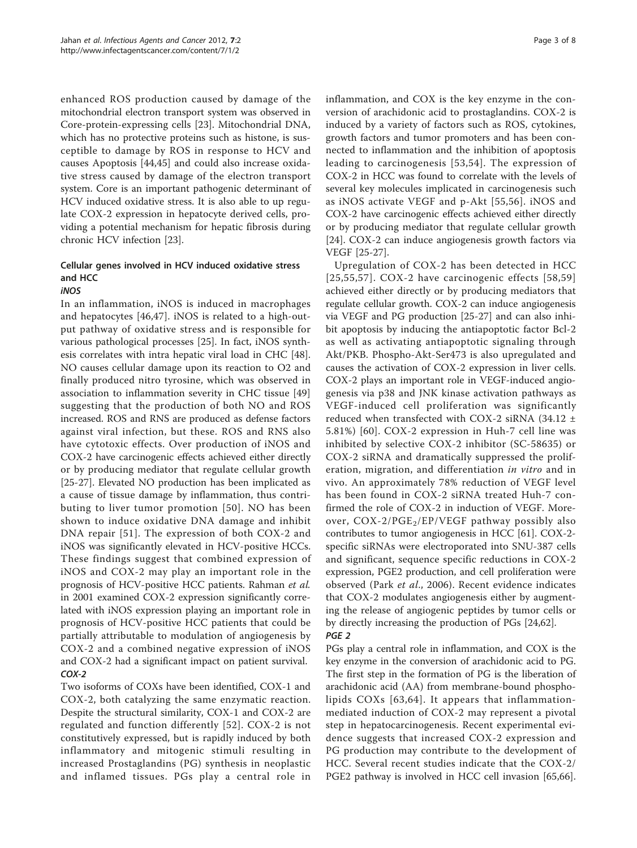enhanced ROS production caused by damage of the mitochondrial electron transport system was observed in Core-protein-expressing cells [\[23](#page-5-0)]. Mitochondrial DNA, which has no protective proteins such as histone, is susceptible to damage by ROS in response to HCV and causes Apoptosis [[44,45\]](#page-6-0) and could also increase oxidative stress caused by damage of the electron transport system. Core is an important pathogenic determinant of HCV induced oxidative stress. It is also able to up regulate COX-2 expression in hepatocyte derived cells, providing a potential mechanism for hepatic fibrosis during chronic HCV infection [[23\]](#page-5-0).

# Cellular genes involved in HCV induced oxidative stress and HCC

#### iNOS

In an inflammation, iNOS is induced in macrophages and hepatocytes [\[46,47\]](#page-6-0). iNOS is related to a high-output pathway of oxidative stress and is responsible for various pathological processes [[25\]](#page-5-0). In fact, iNOS synthesis correlates with intra hepatic viral load in CHC [\[48](#page-6-0)]. NO causes cellular damage upon its reaction to O2 and finally produced nitro tyrosine, which was observed in association to inflammation severity in CHC tissue [\[49](#page-6-0)] suggesting that the production of both NO and ROS increased. ROS and RNS are produced as defense factors against viral infection, but these. ROS and RNS also have cytotoxic effects. Over production of iNOS and COX-2 have carcinogenic effects achieved either directly or by producing mediator that regulate cellular growth [[25-](#page-5-0)[27](#page-6-0)]. Elevated NO production has been implicated as a cause of tissue damage by inflammation, thus contributing to liver tumor promotion [[50](#page-6-0)]. NO has been shown to induce oxidative DNA damage and inhibit DNA repair [[51\]](#page-6-0). The expression of both COX-2 and iNOS was significantly elevated in HCV-positive HCCs. These findings suggest that combined expression of iNOS and COX-2 may play an important role in the prognosis of HCV-positive HCC patients. Rahman et al. in 2001 examined COX-2 expression significantly correlated with iNOS expression playing an important role in prognosis of HCV-positive HCC patients that could be partially attributable to modulation of angiogenesis by COX-2 and a combined negative expression of iNOS and COX-2 had a significant impact on patient survival. COX-2

Two isoforms of COXs have been identified, COX-1 and COX-2, both catalyzing the same enzymatic reaction. Despite the structural similarity, COX-1 and COX-2 are regulated and function differently [[52\]](#page-6-0). COX-2 is not constitutively expressed, but is rapidly induced by both inflammatory and mitogenic stimuli resulting in increased Prostaglandins (PG) synthesis in neoplastic and inflamed tissues. PGs play a central role in inflammation, and COX is the key enzyme in the conversion of arachidonic acid to prostaglandins. COX-2 is induced by a variety of factors such as ROS, cytokines, growth factors and tumor promoters and has been connected to inflammation and the inhibition of apoptosis leading to carcinogenesis [[53](#page-6-0),[54\]](#page-6-0). The expression of COX-2 in HCC was found to correlate with the levels of several key molecules implicated in carcinogenesis such as iNOS activate VEGF and p-Akt [[55](#page-6-0),[56](#page-6-0)]. iNOS and COX-2 have carcinogenic effects achieved either directly or by producing mediator that regulate cellular growth [[24\]](#page-5-0). COX-2 can induce angiogenesis growth factors via VEGF [[25](#page-5-0)-[27\]](#page-6-0).

Upregulation of COX-2 has been detected in HCC  $[25,55,57]$  $[25,55,57]$  $[25,55,57]$  $[25,55,57]$  $[25,55,57]$ . COX-2 have carcinogenic effects  $[58,59]$  $[58,59]$  $[58,59]$  $[58,59]$ achieved either directly or by producing mediators that regulate cellular growth. COX-2 can induce angiogenesis via VEGF and PG production [[25](#page-5-0)[-27](#page-6-0)] and can also inhibit apoptosis by inducing the antiapoptotic factor Bcl-2 as well as activating antiapoptotic signaling through Akt/PKB. Phospho-Akt-Ser473 is also upregulated and causes the activation of COX-2 expression in liver cells. COX-2 plays an important role in VEGF-induced angiogenesis via p38 and JNK kinase activation pathways as VEGF-induced cell proliferation was significantly reduced when transfected with COX-2 siRNA (34.12  $\pm$ 5.81%) [[60](#page-6-0)]. COX-2 expression in Huh-7 cell line was inhibited by selective COX-2 inhibitor (SC-58635) or COX-2 siRNA and dramatically suppressed the proliferation, migration, and differentiation in vitro and in vivo. An approximately 78% reduction of VEGF level has been found in COX-2 siRNA treated Huh-7 confirmed the role of COX-2 in induction of VEGF. Moreover,  $COX-2/PGE_2/EP/VEGF$  pathway possibly also contributes to tumor angiogenesis in HCC [\[61\]](#page-6-0). COX-2 specific siRNAs were electroporated into SNU-387 cells and significant, sequence specific reductions in COX-2 expression, PGE2 production, and cell proliferation were observed (Park et al., 2006). Recent evidence indicates that COX-2 modulates angiogenesis either by augmenting the release of angiogenic peptides by tumor cells or by directly increasing the production of PGs [[24](#page-5-0)[,62](#page-6-0)]. PGE 2

PGs play a central role in inflammation, and COX is the key enzyme in the conversion of arachidonic acid to PG. The first step in the formation of PG is the liberation of arachidonic acid (AA) from membrane-bound phospholipids COXs [[63,64](#page-6-0)]. It appears that inflammationmediated induction of COX-2 may represent a pivotal step in hepatocarcinogenesis. Recent experimental evidence suggests that increased COX-2 expression and PG production may contribute to the development of HCC. Several recent studies indicate that the COX-2/ PGE2 pathway is involved in HCC cell invasion [\[65,66](#page-6-0)].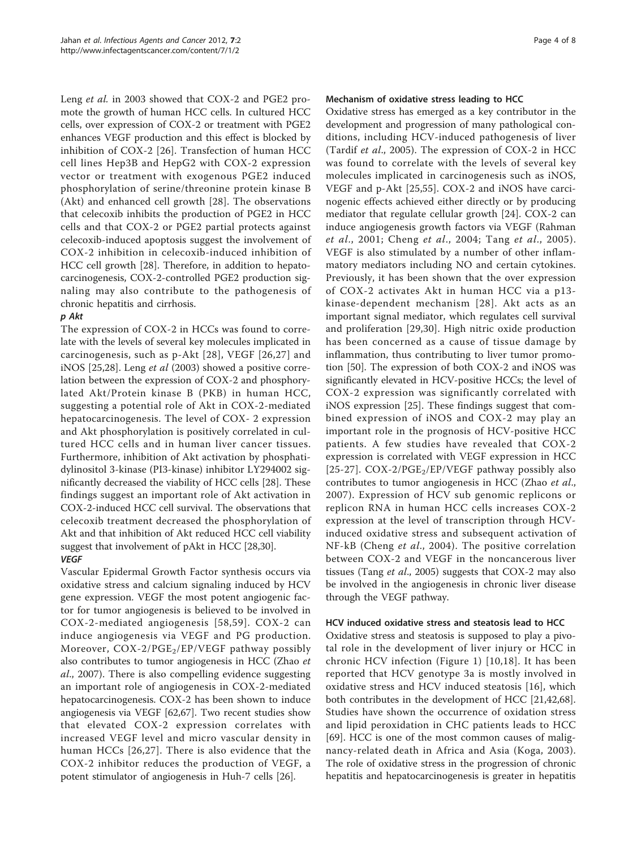Leng et al. in 2003 showed that COX-2 and PGE2 promote the growth of human HCC cells. In cultured HCC cells, over expression of COX-2 or treatment with PGE2 enhances VEGF production and this effect is blocked by inhibition of COX-2 [[26\]](#page-5-0). Transfection of human HCC cell lines Hep3B and HepG2 with COX-2 expression vector or treatment with exogenous PGE2 induced phosphorylation of serine/threonine protein kinase B (Akt) and enhanced cell growth [[28\]](#page-6-0). The observations that celecoxib inhibits the production of PGE2 in HCC cells and that COX-2 or PGE2 partial protects against celecoxib-induced apoptosis suggest the involvement of COX-2 inhibition in celecoxib-induced inhibition of HCC cell growth [[28\]](#page-6-0). Therefore, in addition to hepatocarcinogenesis, COX-2-controlled PGE2 production signaling may also contribute to the pathogenesis of chronic hepatitis and cirrhosis.

# p Akt

The expression of COX-2 in HCCs was found to correlate with the levels of several key molecules implicated in carcinogenesis, such as p-Akt [[28](#page-6-0)], VEGF [[26](#page-5-0),[27](#page-6-0)] and iNOS [[25,](#page-5-0)[28\]](#page-6-0). Leng et al (2003) showed a positive correlation between the expression of COX-2 and phosphorylated Akt/Protein kinase B (PKB) in human HCC, suggesting a potential role of Akt in COX-2-mediated hepatocarcinogenesis. The level of COX- 2 expression and Akt phosphorylation is positively correlated in cultured HCC cells and in human liver cancer tissues. Furthermore, inhibition of Akt activation by phosphatidylinositol 3-kinase (PI3-kinase) inhibitor LY294002 significantly decreased the viability of HCC cells [\[28\]](#page-6-0). These findings suggest an important role of Akt activation in COX-2-induced HCC cell survival. The observations that celecoxib treatment decreased the phosphorylation of Akt and that inhibition of Akt reduced HCC cell viability suggest that involvement of pAkt in HCC [\[28,30\]](#page-6-0). VEGF

Vascular Epidermal Growth Factor synthesis occurs via oxidative stress and calcium signaling induced by HCV gene expression. VEGF the most potent angiogenic factor for tumor angiogenesis is believed to be involved in COX-2-mediated angiogenesis [[58](#page-6-0),[59\]](#page-6-0). COX-2 can induce angiogenesis via VEGF and PG production. Moreover,  $COX-2/PGE_2/EP/VEGF$  pathway possibly also contributes to tumor angiogenesis in HCC (Zhao et al., 2007). There is also compelling evidence suggesting an important role of angiogenesis in COX-2-mediated hepatocarcinogenesis. COX-2 has been shown to induce angiogenesis via VEGF [\[62,67\]](#page-6-0). Two recent studies show that elevated COX-2 expression correlates with increased VEGF level and micro vascular density in human HCCs [[26](#page-5-0),[27\]](#page-6-0). There is also evidence that the COX-2 inhibitor reduces the production of VEGF, a potent stimulator of angiogenesis in Huh-7 cells [[26](#page-5-0)].

#### Mechanism of oxidative stress leading to HCC

Oxidative stress has emerged as a key contributor in the development and progression of many pathological conditions, including HCV-induced pathogenesis of liver (Tardif et al., 2005). The expression of COX-2 in HCC was found to correlate with the levels of several key molecules implicated in carcinogenesis such as iNOS, VEGF and p-Akt [[25,](#page-5-0)[55](#page-6-0)]. COX-2 and iNOS have carcinogenic effects achieved either directly or by producing mediator that regulate cellular growth [[24](#page-5-0)]. COX-2 can induce angiogenesis growth factors via VEGF (Rahman et al., 2001; Cheng et al., 2004; Tang et al., 2005). VEGF is also stimulated by a number of other inflammatory mediators including NO and certain cytokines. Previously, it has been shown that the over expression of COX-2 activates Akt in human HCC via a p13 kinase-dependent mechanism [[28](#page-6-0)]. Akt acts as an important signal mediator, which regulates cell survival and proliferation [\[29,30\]](#page-6-0). High nitric oxide production has been concerned as a cause of tissue damage by inflammation, thus contributing to liver tumor promotion [[50](#page-6-0)]. The expression of both COX-2 and iNOS was significantly elevated in HCV-positive HCCs; the level of COX-2 expression was significantly correlated with iNOS expression [\[25\]](#page-5-0). These findings suggest that combined expression of iNOS and COX-2 may play an important role in the prognosis of HCV-positive HCC patients. A few studies have revealed that COX-2 expression is correlated with VEGF expression in HCC [[25](#page-5-0)-[27](#page-6-0)].  $COX-2/PGE_2/EP/VEGF$  pathway possibly also contributes to tumor angiogenesis in HCC (Zhao et al., 2007). Expression of HCV sub genomic replicons or replicon RNA in human HCC cells increases COX-2 expression at the level of transcription through HCVinduced oxidative stress and subsequent activation of NF-kB (Cheng et al., 2004). The positive correlation between COX-2 and VEGF in the noncancerous liver tissues (Tang et al., 2005) suggests that COX-2 may also be involved in the angiogenesis in chronic liver disease through the VEGF pathway.

#### HCV induced oxidative stress and steatosis lead to HCC

Oxidative stress and steatosis is supposed to play a pivotal role in the development of liver injury or HCC in chronic HCV infection (Figure [1](#page-4-0)) [[10,18\]](#page-5-0). It has been reported that HCV genotype 3a is mostly involved in oxidative stress and HCV induced steatosis [[16\]](#page-5-0), which both contributes in the development of HCC [\[21](#page-5-0)[,42,68](#page-6-0)]. Studies have shown the occurrence of oxidation stress and lipid peroxidation in CHC patients leads to HCC [[69\]](#page-6-0). HCC is one of the most common causes of malignancy-related death in Africa and Asia (Koga, 2003). The role of oxidative stress in the progression of chronic hepatitis and hepatocarcinogenesis is greater in hepatitis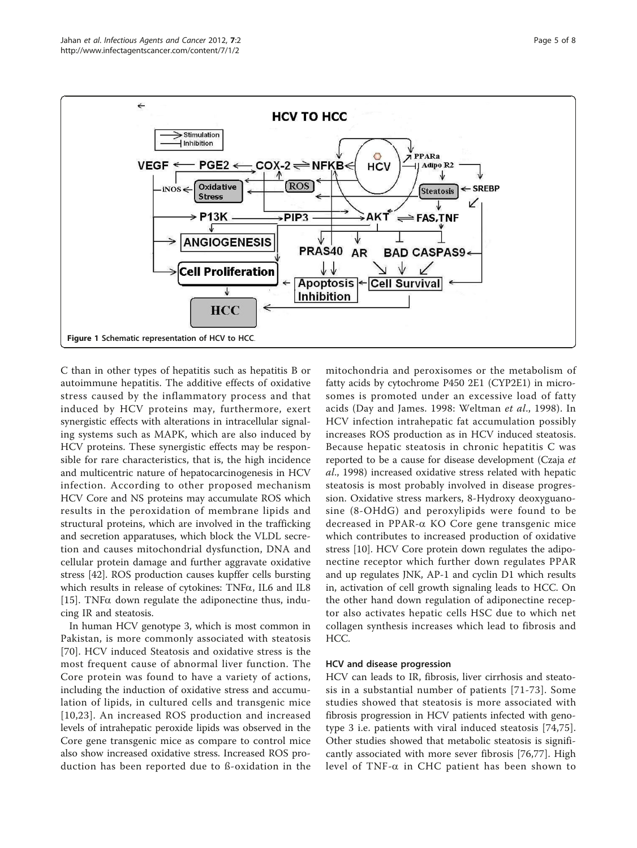$\leftarrow$ 



<span id="page-4-0"></span>

C than in other types of hepatitis such as hepatitis B or autoimmune hepatitis. The additive effects of oxidative stress caused by the inflammatory process and that induced by HCV proteins may, furthermore, exert synergistic effects with alterations in intracellular signaling systems such as MAPK, which are also induced by HCV proteins. These synergistic effects may be responsible for rare characteristics, that is, the high incidence and multicentric nature of hepatocarcinogenesis in HCV infection. According to other proposed mechanism HCV Core and NS proteins may accumulate ROS which results in the peroxidation of membrane lipids and structural proteins, which are involved in the trafficking and secretion apparatuses, which block the VLDL secretion and causes mitochondrial dysfunction, DNA and cellular protein damage and further aggravate oxidative stress [[42](#page-6-0)]. ROS production causes kupffer cells bursting which results in release of cytokines: TNF $\alpha$ , IL6 and IL8 [[15\]](#page-5-0). TNF $\alpha$  down regulate the adiponectine thus, inducing IR and steatosis.

In human HCV genotype 3, which is most common in Pakistan, is more commonly associated with steatosis [[70](#page-7-0)]. HCV induced Steatosis and oxidative stress is the most frequent cause of abnormal liver function. The Core protein was found to have a variety of actions, including the induction of oxidative stress and accumulation of lipids, in cultured cells and transgenic mice [[10,23\]](#page-5-0). An increased ROS production and increased levels of intrahepatic peroxide lipids was observed in the Core gene transgenic mice as compare to control mice also show increased oxidative stress. Increased ROS production has been reported due to ß-oxidation in the

mitochondria and peroxisomes or the metabolism of fatty acids by cytochrome P450 2E1 (CYP2E1) in microsomes is promoted under an excessive load of fatty acids (Day and James. 1998: Weltman et al., 1998). In HCV infection intrahepatic fat accumulation possibly increases ROS production as in HCV induced steatosis. Because hepatic steatosis in chronic hepatitis C was reported to be a cause for disease development (Czaja et al., 1998) increased oxidative stress related with hepatic steatosis is most probably involved in disease progression. Oxidative stress markers, 8-Hydroxy deoxyguanosine (8-OHdG) and peroxylipids were found to be decreased in PPAR-a KO Core gene transgenic mice which contributes to increased production of oxidative stress [[10](#page-5-0)]. HCV Core protein down regulates the adiponectine receptor which further down regulates PPAR and up regulates JNK, AP-1 and cyclin D1 which results in, activation of cell growth signaling leads to HCC. On the other hand down regulation of adiponectine receptor also activates hepatic cells HSC due to which net collagen synthesis increases which lead to fibrosis and HCC.

# HCV and disease progression

HCV can leads to IR, fibrosis, liver cirrhosis and steatosis in a substantial number of patients [[71](#page-7-0)-[73\]](#page-7-0). Some studies showed that steatosis is more associated with fibrosis progression in HCV patients infected with genotype 3 i.e. patients with viral induced steatosis [[74,75](#page-7-0)]. Other studies showed that metabolic steatosis is significantly associated with more sever fibrosis [[76,77](#page-7-0)]. High level of TNF- $\alpha$  in CHC patient has been shown to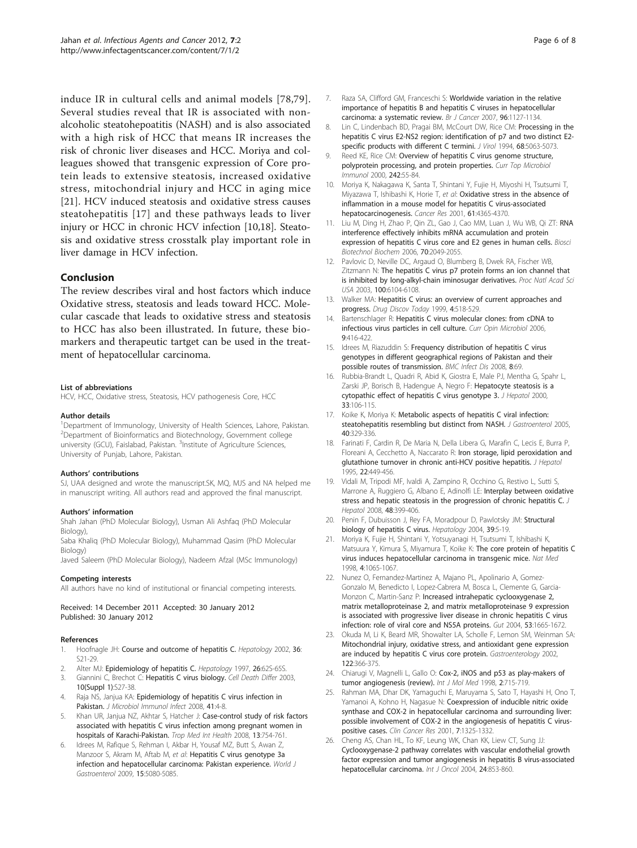<span id="page-5-0"></span>induce IR in cultural cells and animal models [[78](#page-7-0),[79](#page-7-0)]. Several studies reveal that IR is associated with nonalcoholic steatohepoatitis (NASH) and is also associated with a high risk of HCC that means IR increases the risk of chronic liver diseases and HCC. Moriya and colleagues showed that transgenic expression of Core protein leads to extensive steatosis, increased oxidative stress, mitochondrial injury and HCC in aging mice [21]. HCV induced steatosis and oxidative stress causes steatohepatitis [17] and these pathways leads to liver injury or HCC in chronic HCV infection [10,18]. Steatosis and oxidative stress crosstalk play important role in liver damage in HCV infection.

#### Conclusion

The review describes viral and host factors which induce Oxidative stress, steatosis and leads toward HCC. Molecular cascade that leads to oxidative stress and steatosis to HCC has also been illustrated. In future, these biomarkers and therapeutic tartget can be used in the treatment of hepatocellular carcinoma.

#### List of abbreviations

HCV, HCC, Oxidative stress, Steatosis, HCV pathogenesis Core, HCC

#### Author details

<sup>1</sup>Department of Immunology, University of Health Sciences, Lahore, Pakistan. 2 Department of Bioinformatics and Biotechnology, Government college university (GCU), Faislabad, Pakistan. <sup>3</sup>Institute of Agriculture Sciences, University of Punjab, Lahore, Pakistan.

#### Authors' contributions

SJ, UAA designed and wrote the manuscript.SK, MQ, MJS and NA helped me in manuscript writing. All authors read and approved the final manuscript.

#### Authors' information

Shah Jahan (PhD Molecular Biology), Usman Ali Ashfaq (PhD Molecular Biology),

Saba Khaliq (PhD Molecular Biology), Muhammad Qasim (PhD Molecular Biology)

Javed Saleem (PhD Molecular Biology), Nadeem Afzal (MSc Immunology)

#### Competing interests

All authors have no kind of institutional or financial competing interests.

Received: 14 December 2011 Accepted: 30 January 2012 Published: 30 January 2012

#### References

- Hoofnagle JH: [Course and outcome of hepatitis C.](http://www.ncbi.nlm.nih.gov/pubmed/12407573?dopt=Abstract) Hepatology 2002, 36: S21-29.
- 2. Alter MJ: [Epidemiology of hepatitis C.](http://www.ncbi.nlm.nih.gov/pubmed/9305666?dopt=Abstract) Hepatology 1997, 26:62S-65S.
- 3. Giannini C, Brechot C: [Hepatitis C virus biology.](http://www.ncbi.nlm.nih.gov/pubmed/12655344?dopt=Abstract) Cell Death Differ 2003, 10(Suppl 1):S27-38.
- 4. Raja NS, Janjua KA: [Epidemiology of hepatitis C virus infection in](http://www.ncbi.nlm.nih.gov/pubmed/18327420?dopt=Abstract) [Pakistan.](http://www.ncbi.nlm.nih.gov/pubmed/18327420?dopt=Abstract) J Microbiol Immunol Infect 2008, 41:4-8.
- 5. Khan UR, Janjua NZ, Akhtar S, Hatcher J: [Case-control study of risk factors](http://www.ncbi.nlm.nih.gov/pubmed/18384475?dopt=Abstract) [associated with hepatitis C virus infection among pregnant women in](http://www.ncbi.nlm.nih.gov/pubmed/18384475?dopt=Abstract) [hospitals of Karachi-Pakistan.](http://www.ncbi.nlm.nih.gov/pubmed/18384475?dopt=Abstract) Trop Med Int Health 2008, 13:754-761.
- Idrees M, Rafique S, Rehman I, Akbar H, Yousaf MZ, Butt S, Awan Z, Manzoor S, Akram M, Aftab M, et al: [Hepatitis C virus genotype 3a](http://www.ncbi.nlm.nih.gov/pubmed/19860002?dopt=Abstract) [infection and hepatocellular carcinoma: Pakistan experience.](http://www.ncbi.nlm.nih.gov/pubmed/19860002?dopt=Abstract) World J Gastroenterol 2009, 15:5080-5085.
- 7. Raza SA, Clifford GM, Franceschi S: [Worldwide variation in the relative](http://www.ncbi.nlm.nih.gov/pubmed/17406349?dopt=Abstract) [importance of hepatitis B and hepatitis C viruses in hepatocellular](http://www.ncbi.nlm.nih.gov/pubmed/17406349?dopt=Abstract) [carcinoma: a systematic review.](http://www.ncbi.nlm.nih.gov/pubmed/17406349?dopt=Abstract) Br J Cancer 2007, 96:1127-1134.
- 8. Lin C, Lindenbach BD, Pragai BM, McCourt DW, Rice CM: [Processing in the](http://www.ncbi.nlm.nih.gov/pubmed/7518529?dopt=Abstract) [hepatitis C virus E2-NS2 region: identification of p7 and two distinct E2](http://www.ncbi.nlm.nih.gov/pubmed/7518529?dopt=Abstract) [specific products with different C termini.](http://www.ncbi.nlm.nih.gov/pubmed/7518529?dopt=Abstract) J Virol 1994, 68:5063-5073.
- 9. Reed KE, Rice CM: [Overview of hepatitis C virus genome structure,](http://www.ncbi.nlm.nih.gov/pubmed/10592656?dopt=Abstract) [polyprotein processing, and protein properties.](http://www.ncbi.nlm.nih.gov/pubmed/10592656?dopt=Abstract) Curr Top Microbiol Immunol 2000, 242:55-84.
- 10. Moriya K, Nakagawa K, Santa T, Shintani Y, Fujie H, Miyoshi H, Tsutsumi T, Miyazawa T, Ishibashi K, Horie T, et al: [Oxidative stress in the absence of](http://www.ncbi.nlm.nih.gov/pubmed/11389061?dopt=Abstract) [inflammation in a mouse model for hepatitis C virus-associated](http://www.ncbi.nlm.nih.gov/pubmed/11389061?dopt=Abstract) [hepatocarcinogenesis.](http://www.ncbi.nlm.nih.gov/pubmed/11389061?dopt=Abstract) Cancer Res 2001, 61:4365-4370.
- 11. Liu M, Ding H, Zhao P, Qin ZL, Gao J, Cao MM, Luan J, Wu WB, Qi ZT: [RNA](http://www.ncbi.nlm.nih.gov/pubmed/16960393?dopt=Abstract) [interference effectively inhibits mRNA accumulation and protein](http://www.ncbi.nlm.nih.gov/pubmed/16960393?dopt=Abstract) [expression of hepatitis C virus core and E2 genes in human cells.](http://www.ncbi.nlm.nih.gov/pubmed/16960393?dopt=Abstract) Biosci Biotechnol Biochem 2006, 70:2049-2055.
- 12. Pavlovic D, Neville DC, Argaud O, Blumberg B, Dwek RA, Fischer WB, Zitzmann N: [The hepatitis C virus p7 protein forms an ion channel that](http://www.ncbi.nlm.nih.gov/pubmed/12719519?dopt=Abstract) [is inhibited by long-alkyl-chain iminosugar derivatives.](http://www.ncbi.nlm.nih.gov/pubmed/12719519?dopt=Abstract) Proc Natl Acad Sci USA 2003, 100:6104-6108.
- 13. Walker MA: [Hepatitis C virus: an overview of current approaches and](http://www.ncbi.nlm.nih.gov/pubmed/10529769?dopt=Abstract) [progress.](http://www.ncbi.nlm.nih.gov/pubmed/10529769?dopt=Abstract) Drug Discov Today 1999, 4:518-529.
- 14. Bartenschlager R: [Hepatitis C virus molecular clones: from cDNA to](http://www.ncbi.nlm.nih.gov/pubmed/16814596?dopt=Abstract) [infectious virus particles in cell culture.](http://www.ncbi.nlm.nih.gov/pubmed/16814596?dopt=Abstract) Curr Opin Microbiol 2006. 9:416-422.
- 15. Idrees M, Riazuddin S: [Frequency distribution of hepatitis C virus](http://www.ncbi.nlm.nih.gov/pubmed/18498666?dopt=Abstract) [genotypes in different geographical regions of Pakistan and their](http://www.ncbi.nlm.nih.gov/pubmed/18498666?dopt=Abstract) [possible routes of transmission.](http://www.ncbi.nlm.nih.gov/pubmed/18498666?dopt=Abstract) BMC Infect Dis 2008, 8:69.
- 16. Rubbia-Brandt L, Quadri R, Abid K, Giostra E, Male PJ, Mentha G, Spahr L, Zarski JP, Borisch B, Hadengue A, Negro F: [Hepatocyte steatosis is a](http://www.ncbi.nlm.nih.gov/pubmed/10905593?dopt=Abstract) [cytopathic effect of hepatitis C virus genotype 3.](http://www.ncbi.nlm.nih.gov/pubmed/10905593?dopt=Abstract) J Hepatol 2000, 33:106-115.
- 17. Koike K, Moriya K: [Metabolic aspects of hepatitis C viral infection:](http://www.ncbi.nlm.nih.gov/pubmed/15868369?dopt=Abstract) [steatohepatitis resembling but distinct from NASH.](http://www.ncbi.nlm.nih.gov/pubmed/15868369?dopt=Abstract) J Gastroenterol 2005, 40:329-336.
- 18. Farinati F, Cardin R, De Maria N, Della Libera G, Marafin C, Lecis E, Burra P, Floreani A, Cecchetto A, Naccarato R: [Iron storage, lipid peroxidation and](http://www.ncbi.nlm.nih.gov/pubmed/7545199?dopt=Abstract) [glutathione turnover in chronic anti-HCV positive hepatitis.](http://www.ncbi.nlm.nih.gov/pubmed/7545199?dopt=Abstract) J Hepatol 1995, 22:449-456.
- 19. Vidali M, Tripodi MF, Ivaldi A, Zampino R, Occhino G, Restivo L, Sutti S, Marrone A, Ruggiero G, Albano E, Adinolfi LE: [Interplay between oxidative](http://www.ncbi.nlm.nih.gov/pubmed/18164507?dopt=Abstract) [stress and hepatic steatosis in the progression of chronic hepatitis C.](http://www.ncbi.nlm.nih.gov/pubmed/18164507?dopt=Abstract) J Hepatol 2008, 48:399-406.
- 20. Penin F, Dubuisson J, Rey FA, Moradpour D, Pawlotsky JM: [Structural](http://www.ncbi.nlm.nih.gov/pubmed/14752815?dopt=Abstract) [biology of hepatitis C virus.](http://www.ncbi.nlm.nih.gov/pubmed/14752815?dopt=Abstract) Hepatology 2004, 39:5-19.
- 21. Moriya K, Fujie H, Shintani Y, Yotsuyanagi H, Tsutsumi T, Ishibashi K, Matsuura Y, Kimura S, Miyamura T, Koike K: [The core protein of hepatitis C](http://www.ncbi.nlm.nih.gov/pubmed/9734402?dopt=Abstract) [virus induces hepatocellular carcinoma in transgenic mice.](http://www.ncbi.nlm.nih.gov/pubmed/9734402?dopt=Abstract) Nat Med 1998, 4:1065-1067.
- 22. Nunez O, Fernandez-Martinez A, Majano PL, Apolinario A, Gomez-Gonzalo M, Benedicto I, Lopez-Cabrera M, Bosca L, Clemente G, Garcia-Monzon C, Martin-Sanz P: [Increased intrahepatic cyclooxygenase 2,](http://www.ncbi.nlm.nih.gov/pubmed/15479690?dopt=Abstract) [matrix metalloproteinase 2, and matrix metalloproteinase 9 expression](http://www.ncbi.nlm.nih.gov/pubmed/15479690?dopt=Abstract) [is associated with progressive liver disease in chronic hepatitis C virus](http://www.ncbi.nlm.nih.gov/pubmed/15479690?dopt=Abstract) [infection: role of viral core and NS5A proteins.](http://www.ncbi.nlm.nih.gov/pubmed/15479690?dopt=Abstract) Gut 2004, 53:1665-1672.
- 23. Okuda M, Li K, Beard MR, Showalter LA, Scholle F, Lemon SM, Weinman SA: [Mitochondrial injury, oxidative stress, and antioxidant gene expression](http://www.ncbi.nlm.nih.gov/pubmed/11832451?dopt=Abstract) [are induced by hepatitis C virus core protein.](http://www.ncbi.nlm.nih.gov/pubmed/11832451?dopt=Abstract) Gastroenterology 2002, 122:366-375.
- 24. Chiarugi V, Magnelli L, Gallo O: [Cox-2, iNOS and p53 as play-makers of](http://www.ncbi.nlm.nih.gov/pubmed/9850741?dopt=Abstract) [tumor angiogenesis \(review\).](http://www.ncbi.nlm.nih.gov/pubmed/9850741?dopt=Abstract) Int J Mol Med 1998, 2:715-719.
- 25. Rahman MA, Dhar DK, Yamaguchi E, Maruyama S, Sato T, Hayashi H, Ono T, Yamanoi A, Kohno H, Nagasue N: [Coexpression of inducible nitric oxide](http://www.ncbi.nlm.nih.gov/pubmed/11350902?dopt=Abstract) [synthase and COX-2 in hepatocellular carcinoma and surrounding liver:](http://www.ncbi.nlm.nih.gov/pubmed/11350902?dopt=Abstract) [possible involvement of COX-2 in the angiogenesis of hepatitis C virus](http://www.ncbi.nlm.nih.gov/pubmed/11350902?dopt=Abstract)[positive cases.](http://www.ncbi.nlm.nih.gov/pubmed/11350902?dopt=Abstract) Clin Cancer Res 2001, 7:1325-1332.
- 26. Cheng AS, Chan HL, To KF, Leung WK, Chan KK, Liew CT, Sung JJ: [Cyclooxygenase-2 pathway correlates with vascular endothelial growth](http://www.ncbi.nlm.nih.gov/pubmed/15010822?dopt=Abstract) [factor expression and tumor angiogenesis in hepatitis B virus-associated](http://www.ncbi.nlm.nih.gov/pubmed/15010822?dopt=Abstract) [hepatocellular carcinoma.](http://www.ncbi.nlm.nih.gov/pubmed/15010822?dopt=Abstract) Int J Oncol 2004, 24:853-860.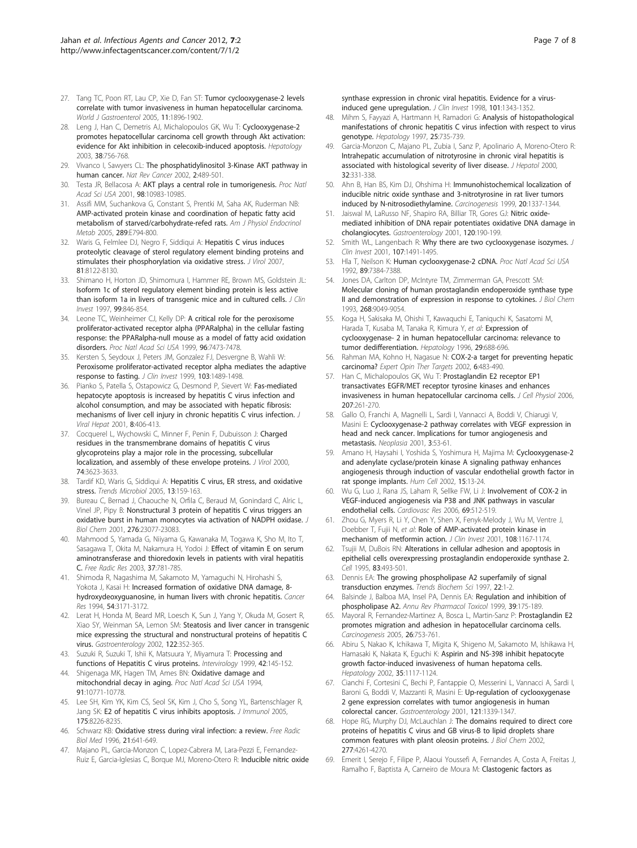- <span id="page-6-0"></span>27. Tang TC, Poon RT, Lau CP, Xie D, Fan ST: [Tumor cyclooxygenase-2 levels](http://www.ncbi.nlm.nih.gov/pubmed/15800977?dopt=Abstract) [correlate with tumor invasiveness in human hepatocellular carcinoma.](http://www.ncbi.nlm.nih.gov/pubmed/15800977?dopt=Abstract) World J Gastroenterol 2005, 11:1896-1902.
- 28. Leng J, Han C, Demetris AJ, Michalopoulos GK, Wu T: [Cyclooxygenase-2](http://www.ncbi.nlm.nih.gov/pubmed/12939602?dopt=Abstract) [promotes hepatocellular carcinoma cell growth through Akt activation:](http://www.ncbi.nlm.nih.gov/pubmed/12939602?dopt=Abstract) [evidence for Akt inhibition in celecoxib-induced apoptosis.](http://www.ncbi.nlm.nih.gov/pubmed/12939602?dopt=Abstract) Hepatology 2003, 38:756-768.
- 29. Vivanco I, Sawyers CL: [The phosphatidylinositol 3-Kinase AKT pathway in](http://www.ncbi.nlm.nih.gov/pubmed/12094235?dopt=Abstract) [human cancer.](http://www.ncbi.nlm.nih.gov/pubmed/12094235?dopt=Abstract) Nat Rev Cancer 2002, 2:489-501.
- 30. Testa JR, Bellacosa A: [AKT plays a central role in tumorigenesis.](http://www.ncbi.nlm.nih.gov/pubmed/11572954?dopt=Abstract) Proc Natl Acad Sci USA 2001, 98:10983-10985.
- 31. Assifi MM, Suchankova G, Constant S, Prentki M, Saha AK, Ruderman NB: [AMP-activated protein kinase and coordination of hepatic fatty acid](http://www.ncbi.nlm.nih.gov/pubmed/15956049?dopt=Abstract) [metabolism of starved/carbohydrate-refed rats.](http://www.ncbi.nlm.nih.gov/pubmed/15956049?dopt=Abstract) Am J Physiol Endocrinol Metab 2005, 289:E794-800.
- 32. Waris G, Felmlee DJ, Negro F, Siddiqui A: [Hepatitis C virus induces](http://www.ncbi.nlm.nih.gov/pubmed/17507484?dopt=Abstract) [proteolytic cleavage of sterol regulatory element binding proteins and](http://www.ncbi.nlm.nih.gov/pubmed/17507484?dopt=Abstract) [stimulates their phosphorylation via oxidative stress.](http://www.ncbi.nlm.nih.gov/pubmed/17507484?dopt=Abstract) J Virol 2007, 81:8122-8130.
- 33. Shimano H, Horton JD, Shimomura I, Hammer RE, Brown MS, Goldstein JL: [Isoform 1c of sterol regulatory element binding protein is less active](http://www.ncbi.nlm.nih.gov/pubmed/9062341?dopt=Abstract) [than isoform 1a in livers of transgenic mice and in cultured cells.](http://www.ncbi.nlm.nih.gov/pubmed/9062341?dopt=Abstract) J Clin Invest 1997, 99:846-854.
- 34. Leone TC, Weinheimer CJ, Kelly DP: [A critical role for the peroxisome](http://www.ncbi.nlm.nih.gov/pubmed/10377439?dopt=Abstract) [proliferator-activated receptor alpha \(PPARalpha\) in the cellular fasting](http://www.ncbi.nlm.nih.gov/pubmed/10377439?dopt=Abstract) [response: the PPARalpha-null mouse as a model of fatty acid oxidation](http://www.ncbi.nlm.nih.gov/pubmed/10377439?dopt=Abstract) [disorders.](http://www.ncbi.nlm.nih.gov/pubmed/10377439?dopt=Abstract) Proc Natl Acad Sci USA 1999, 96:7473-7478.
- 35. Kersten S, Seydoux J, Peters JM, Gonzalez FJ, Desvergne B, Wahli W: [Peroxisome proliferator-activated receptor alpha mediates the adaptive](http://www.ncbi.nlm.nih.gov/pubmed/10359558?dopt=Abstract) [response to fasting.](http://www.ncbi.nlm.nih.gov/pubmed/10359558?dopt=Abstract) J Clin Invest 1999, 103:1489-1498.
- 36. Pianko S, Patella S, Ostapowicz G, Desmond P, Sievert W: [Fas-mediated](http://www.ncbi.nlm.nih.gov/pubmed/11703571?dopt=Abstract) [hepatocyte apoptosis is increased by hepatitis C virus infection and](http://www.ncbi.nlm.nih.gov/pubmed/11703571?dopt=Abstract) [alcohol consumption, and may be associated with hepatic fibrosis:](http://www.ncbi.nlm.nih.gov/pubmed/11703571?dopt=Abstract) [mechanisms of liver cell injury in chronic hepatitis C virus infection.](http://www.ncbi.nlm.nih.gov/pubmed/11703571?dopt=Abstract) J Viral Hepat 2001, 8:406-413.
- 37. Cocquerel L, Wychowski C, Minner F, Penin F, Dubuisson J: [Charged](http://www.ncbi.nlm.nih.gov/pubmed/10729138?dopt=Abstract) [residues in the transmembrane domains of hepatitis C virus](http://www.ncbi.nlm.nih.gov/pubmed/10729138?dopt=Abstract) [glycoproteins play a major role in the processing, subcellular](http://www.ncbi.nlm.nih.gov/pubmed/10729138?dopt=Abstract) [localization, and assembly of these envelope proteins.](http://www.ncbi.nlm.nih.gov/pubmed/10729138?dopt=Abstract) J Virol 2000, 74:3623-3633.
- 38. Tardif KD, Waris G, Siddiqui A: [Hepatitis C virus, ER stress, and oxidative](http://www.ncbi.nlm.nih.gov/pubmed/15817385?dopt=Abstract) [stress.](http://www.ncbi.nlm.nih.gov/pubmed/15817385?dopt=Abstract) Trends Microbiol 2005, 13:159-163.
- 39. Bureau C, Bernad J, Chaouche N, Orfila C, Beraud M, Gonindard C, Alric L, Vinel JP, Pipy B: [Nonstructural 3 protein of hepatitis C virus triggers an](http://www.ncbi.nlm.nih.gov/pubmed/11304537?dopt=Abstract) [oxidative burst in human monocytes via activation of NADPH oxidase.](http://www.ncbi.nlm.nih.gov/pubmed/11304537?dopt=Abstract) J Biol Chem 2001, 276:23077-23083.
- 40. Mahmood S, Yamada G, Niiyama G, Kawanaka M, Togawa K, Sho M, Ito T, Sasagawa T, Okita M, Nakamura H, Yodoi J: [Effect of vitamin E on serum](http://www.ncbi.nlm.nih.gov/pubmed/12911275?dopt=Abstract) [aminotransferase and thioredoxin levels in patients with viral hepatitis](http://www.ncbi.nlm.nih.gov/pubmed/12911275?dopt=Abstract) [C.](http://www.ncbi.nlm.nih.gov/pubmed/12911275?dopt=Abstract) Free Radic Res 2003, 37:781-785.
- 41. Shimoda R, Nagashima M, Sakamoto M, Yamaguchi N, Hirohashi S, Yokota J, Kasai H: [Increased formation of oxidative DNA damage, 8](http://www.ncbi.nlm.nih.gov/pubmed/8205535?dopt=Abstract) [hydroxydeoxyguanosine, in human livers with chronic hepatitis.](http://www.ncbi.nlm.nih.gov/pubmed/8205535?dopt=Abstract) Cancer Res 1994, 54:3171-3172.
- 42. Lerat H, Honda M, Beard MR, Loesch K, Sun J, Yang Y, Okuda M, Gosert R, Xiao SY, Weinman SA, Lemon SM: [Steatosis and liver cancer in transgenic](http://www.ncbi.nlm.nih.gov/pubmed/11832450?dopt=Abstract) [mice expressing the structural and nonstructural proteins of hepatitis C](http://www.ncbi.nlm.nih.gov/pubmed/11832450?dopt=Abstract) [virus.](http://www.ncbi.nlm.nih.gov/pubmed/11832450?dopt=Abstract) Gastroenterology 2002, 122:352-365.
- 43. Suzuki R, Suzuki T, Ishii K, Matsuura Y, Miyamura T: [Processing and](http://www.ncbi.nlm.nih.gov/pubmed/10516468?dopt=Abstract) [functions of Hepatitis C virus proteins.](http://www.ncbi.nlm.nih.gov/pubmed/10516468?dopt=Abstract) Intervirology 1999, 42:145-152.
- 44. Shigenaga MK, Hagen TM, Ames BN: [Oxidative damage and](http://www.ncbi.nlm.nih.gov/pubmed/7971961?dopt=Abstract) [mitochondrial decay in aging.](http://www.ncbi.nlm.nih.gov/pubmed/7971961?dopt=Abstract) Proc Natl Acad Sci USA 1994, 91:10771-10778.
- 45. Lee SH, Kim YK, Kim CS, Seol SK, Kim J, Cho S, Song YL, Bartenschlager R, Jang SK: [E2 of hepatitis C virus inhibits apoptosis.](http://www.ncbi.nlm.nih.gov/pubmed/16339562?dopt=Abstract) J Immunol 2005, 175:8226-8235.
- 46. Schwarz KB: [Oxidative stress during viral infection: a review.](http://www.ncbi.nlm.nih.gov/pubmed/8891667?dopt=Abstract) Free Radic Biol Med 1996, 21:641-649.
- 47. Majano PL, Garcia-Monzon C, Lopez-Cabrera M, Lara-Pezzi E, Fernandez-Ruiz E, Garcia-Iglesias C, Borque MJ, Moreno-Otero R: [Inducible nitric oxide](http://www.ncbi.nlm.nih.gov/pubmed/9525976?dopt=Abstract)

[synthase expression in chronic viral hepatitis. Evidence for a virus](http://www.ncbi.nlm.nih.gov/pubmed/9525976?dopt=Abstract)[induced gene upregulation.](http://www.ncbi.nlm.nih.gov/pubmed/9525976?dopt=Abstract) J Clin Invest 1998, 101:1343-1352.

- 48. Mihm S, Fayyazi A, Hartmann H, Ramadori G: [Analysis of histopathological](http://www.ncbi.nlm.nih.gov/pubmed/9049227?dopt=Abstract) [manifestations of chronic hepatitis C virus infection with respect to virus](http://www.ncbi.nlm.nih.gov/pubmed/9049227?dopt=Abstract) [genotype.](http://www.ncbi.nlm.nih.gov/pubmed/9049227?dopt=Abstract) Hepatology 1997, 25:735-739.
- Garcia-Monzon C, Majano PL, Zubia I, Sanz P, Apolinario A, Moreno-Otero R: [Intrahepatic accumulation of nitrotyrosine in chronic viral hepatitis is](http://www.ncbi.nlm.nih.gov/pubmed/10707875?dopt=Abstract) [associated with histological severity of liver disease.](http://www.ncbi.nlm.nih.gov/pubmed/10707875?dopt=Abstract) J Hepatol 2000, 32:331-338.
- 50. Ahn B, Han BS, Kim DJ, Ohshima H: [Immunohistochemical localization of](http://www.ncbi.nlm.nih.gov/pubmed/10383909?dopt=Abstract) [inducible nitric oxide synthase and 3-nitrotyrosine in rat liver tumors](http://www.ncbi.nlm.nih.gov/pubmed/10383909?dopt=Abstract) [induced by N-nitrosodiethylamine.](http://www.ncbi.nlm.nih.gov/pubmed/10383909?dopt=Abstract) Carcinogenesis 1999, 20:1337-1344.
- 51. Jaiswal M, LaRusso NF, Shapiro RA, Billiar TR, Gores GJ: [Nitric oxide](http://www.ncbi.nlm.nih.gov/pubmed/11208728?dopt=Abstract)[mediated inhibition of DNA repair potentiates oxidative DNA damage in](http://www.ncbi.nlm.nih.gov/pubmed/11208728?dopt=Abstract) [cholangiocytes.](http://www.ncbi.nlm.nih.gov/pubmed/11208728?dopt=Abstract) Gastroenterology 2001, 120:190-199.
- 52. Smith WL, Langenbach R: [Why there are two cyclooxygenase isozymes.](http://www.ncbi.nlm.nih.gov/pubmed/11413152?dopt=Abstract) J Clin Invest 2001, 107:1491-1495.
- 53. Hla T, Neilson K: [Human cyclooxygenase-2 cDNA.](http://www.ncbi.nlm.nih.gov/pubmed/1380156?dopt=Abstract) Proc Natl Acad Sci USA 1992, 89:7384-7388.
- 54. Jones DA, Carlton DP, McIntyre TM, Zimmerman GA, Prescott SM: Molecular [cloning of human prostaglandin endoperoxide synthase type](http://www.ncbi.nlm.nih.gov/pubmed/8473346?dopt=Abstract) [II and demonstration of expression in response to cytokines.](http://www.ncbi.nlm.nih.gov/pubmed/8473346?dopt=Abstract) J Biol Chem 1993, 268:9049-9054.
- 55. Koga H, Sakisaka M, Ohishi T, Kawaquchi E, Taniquchi K, Sasatomi M, Harada T, Kusaba M, Tanaka R, Kimura Y, et al: Expression of cyclooxygenase- 2 in human hepatocellular carcinoma: relevance to tumor dedifferentiation. Hepatology 1996, 29:688-696.
- 56. Rahman MA, Kohno H, Nagasue N: [COX-2-a target for preventing hepatic](http://www.ncbi.nlm.nih.gov/pubmed/12223062?dopt=Abstract) [carcinoma?](http://www.ncbi.nlm.nih.gov/pubmed/12223062?dopt=Abstract) Expert Opin Ther Targets 2002, 6:483-490.
- 57. Han C, Michalopoulos GK, Wu T: [Prostaglandin E2 receptor EP1](http://www.ncbi.nlm.nih.gov/pubmed/16331686?dopt=Abstract) [transactivates EGFR/MET receptor tyrosine kinases and enhances](http://www.ncbi.nlm.nih.gov/pubmed/16331686?dopt=Abstract) [invasiveness in human hepatocellular carcinoma cells.](http://www.ncbi.nlm.nih.gov/pubmed/16331686?dopt=Abstract) J Cell Physiol 2006, 207:261-270.
- 58. Gallo O, Franchi A, Magnelli L, Sardi I, Vannacci A, Boddi V, Chiarugi V, Masini E: [Cyclooxygenase-2 pathway correlates with VEGF expression in](http://www.ncbi.nlm.nih.gov/pubmed/11326316?dopt=Abstract) [head and neck cancer. Implications for tumor angiogenesis and](http://www.ncbi.nlm.nih.gov/pubmed/11326316?dopt=Abstract) [metastasis.](http://www.ncbi.nlm.nih.gov/pubmed/11326316?dopt=Abstract) Neoplasia 2001, 3:53-61.
- 59. Amano H, Haysahi I, Yoshida S, Yoshimura H, Majima M: [Cyclooxygenase-2](http://www.ncbi.nlm.nih.gov/pubmed/12126060?dopt=Abstract) [and adenylate cyclase/protein kinase A signaling pathway enhances](http://www.ncbi.nlm.nih.gov/pubmed/12126060?dopt=Abstract) [angiogenesis through induction of vascular endothelial growth factor in](http://www.ncbi.nlm.nih.gov/pubmed/12126060?dopt=Abstract) [rat sponge implants.](http://www.ncbi.nlm.nih.gov/pubmed/12126060?dopt=Abstract) Hum Cell 2002, 15:13-24.
- Wu G, Luo J, Rana JS, Laham R, Sellke FW, Li J: [Involvement of COX-2 in](http://www.ncbi.nlm.nih.gov/pubmed/16336951?dopt=Abstract) [VEGF-induced angiogenesis via P38 and JNK pathways in vascular](http://www.ncbi.nlm.nih.gov/pubmed/16336951?dopt=Abstract) [endothelial cells.](http://www.ncbi.nlm.nih.gov/pubmed/16336951?dopt=Abstract) Cardiovasc Res 2006, 69:512-519.
- 61. Zhou G, Myers R, Li Y, Chen Y, Shen X, Fenyk-Melody J, Wu M, Ventre J, Doebber T, Fujii N, et al: [Role of AMP-activated protein kinase in](http://www.ncbi.nlm.nih.gov/pubmed/11602624?dopt=Abstract) [mechanism of metformin action.](http://www.ncbi.nlm.nih.gov/pubmed/11602624?dopt=Abstract) J Clin Invest 2001, 108:1167-1174.
- 62. Tsujii M, DuBois RN: [Alterations in cellular adhesion and apoptosis in](http://www.ncbi.nlm.nih.gov/pubmed/8521479?dopt=Abstract) [epithelial cells overexpressing prostaglandin endoperoxide synthase 2.](http://www.ncbi.nlm.nih.gov/pubmed/8521479?dopt=Abstract) Cell 1995, 83:493-501.
- 63. Dennis EA: [The growing phospholipase A2 superfamily of signal](http://www.ncbi.nlm.nih.gov/pubmed/9020581?dopt=Abstract) [transduction enzymes.](http://www.ncbi.nlm.nih.gov/pubmed/9020581?dopt=Abstract) Trends Biochem Sci 1997, 22:1-2.
- Balsinde J, Balboa MA, Insel PA, Dennis EA: [Regulation and inhibition of](http://www.ncbi.nlm.nih.gov/pubmed/10331081?dopt=Abstract) [phospholipase A2.](http://www.ncbi.nlm.nih.gov/pubmed/10331081?dopt=Abstract) Annu Rev Pharmacol Toxicol 1999, 39:175-189.
- 65. Mayoral R, Fernandez-Martinez A, Bosca L, Martin-Sanz P: [Prostaglandin E2](http://www.ncbi.nlm.nih.gov/pubmed/15661807?dopt=Abstract) [promotes migration and adhesion in hepatocellular carcinoma cells.](http://www.ncbi.nlm.nih.gov/pubmed/15661807?dopt=Abstract) Carcinogenesis 2005, 26:753-761.
- 66. Abiru S, Nakao K, Ichikawa T, Migita K, Shigeno M, Sakamoto M, Ishikawa H, Hamasaki K, Nakata K, Eguchi K: [Aspirin and NS-398 inhibit hepatocyte](http://www.ncbi.nlm.nih.gov/pubmed/11981761?dopt=Abstract) [growth factor-induced invasiveness of human hepatoma cells.](http://www.ncbi.nlm.nih.gov/pubmed/11981761?dopt=Abstract) Hepatology 2002, 35:1117-1124.
- 67. Cianchi F, Cortesini C, Bechi P, Fantappie O, Messerini L, Vannacci A, Sardi I, Baroni G, Boddi V, Mazzanti R, Masini E: [Up-regulation of cyclooxygenase](http://www.ncbi.nlm.nih.gov/pubmed/11729113?dopt=Abstract) [2 gene expression correlates with tumor angiogenesis in human](http://www.ncbi.nlm.nih.gov/pubmed/11729113?dopt=Abstract) [colorectal](http://www.ncbi.nlm.nih.gov/pubmed/11729113?dopt=Abstract) cancer. Gastroenterology 2001, 121:1339-1347.
- 68. Hope RG, Murphy DJ, McLauchlan J: [The domains required to direct core](http://www.ncbi.nlm.nih.gov/pubmed/11706032?dopt=Abstract) [proteins of hepatitis C virus and GB virus-B to lipid droplets share](http://www.ncbi.nlm.nih.gov/pubmed/11706032?dopt=Abstract) [common features with plant oleosin proteins.](http://www.ncbi.nlm.nih.gov/pubmed/11706032?dopt=Abstract) J Biol Chem 2002, 277:4261-4270.
- 69. Emerit I, Serejo F, Filipe P, Alaoui Youssefi A, Fernandes A, Costa A, Freitas J, Ramalho F, Baptista A, Carneiro de Moura M: [Clastogenic factors as](http://www.ncbi.nlm.nih.gov/pubmed/11025369?dopt=Abstract)